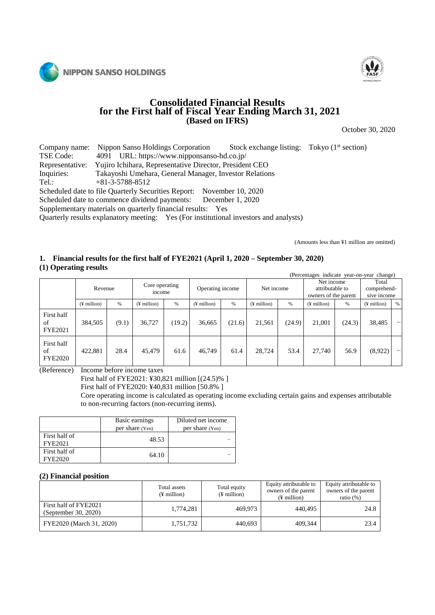



## **Consolidated Financial Results for the First half of Fiscal Year Ending March 31, 2021 (Based on IFRS)**

October 30, 2020

Company name: Nippon Sanso Holdings Corporation Stock exchange listing: Tokyo (1<sup>st</sup> section)<br>TSE Code: 4091 URL: https://www.nipponsanso-hd.co.jp/ TSE Code: 4091 URL: https://www.nipponsanso-hd.co.jp/<br>Representative: Yujiro Ichihara, Representative Director, Presider Yujiro Ichihara, Representative Director, President CEO Inquiries: Takayoshi Umehara, General Manager, Investor Relations Tel.: +81-3-5788-8512 Scheduled date to file Quarterly Securities Report: November 10, 2020 Scheduled date to commence dividend payments: December 1, 2020

Supplementary materials on quarterly financial results: Yes

Quarterly results explanatory meeting: Yes (For institutional investors and analysts)

(Amounts less than ¥1 million are omitted)

## **1. Financial results for the first half of FYE2021 (April 1, 2020 – September 30, 2020)**

**(1) Operating results**

|                                    | (Percentages indicate year-on-year change) |         |                          |        |                   |        |               |        |                                                       |        |                                     |      |
|------------------------------------|--------------------------------------------|---------|--------------------------|--------|-------------------|--------|---------------|--------|-------------------------------------------------------|--------|-------------------------------------|------|
|                                    |                                            | Revenue | Core operating<br>income |        | Operating income  |        | Net income    |        | Net income<br>attributable to<br>owners of the parent |        | Total<br>comprehend-<br>sive income |      |
|                                    | $($ ¥ million $)$                          | $\%$    | $($ ¥ million $)$        | %      | $($ ¥ million $)$ | $\%$   | $(F$ million) | %      | $(\frac{1}{2})$ million                               | $\%$   | $($ ¥ million $)$                   | $\%$ |
| First half<br>of<br><b>FYE2021</b> | 384,505                                    | (9.1)   | 36,727                   | (19.2) | 36,665            | (21.6) | 21,561        | (24.9) | 21,001                                                | (24.3) | 38,485                              |      |
| First half<br>of<br><b>FYE2020</b> | 422.881                                    | 28.4    | 45,479                   | 61.6   | 46,749            | 61.4   | 28,724        | 53.4   | 27,740                                                | 56.9   | (8,922)                             |      |

(Reference) Income before income taxes

First half of FYE2021: ¥30,821 million [(24.5)% ]

First half of FYE2020: ¥40,831 million [50.8% ]

Core operating income is calculated as operating income excluding certain gains and expenses attributable to non-recurring factors (non-recurring items).

|                          | Basic earnings<br>per share (Yen) | Diluted net income<br>per share (Yen) |
|--------------------------|-----------------------------------|---------------------------------------|
| First half of<br>FYE2021 | 48.53                             |                                       |
| First half of<br>FYE2020 | 64.10                             |                                       |

#### **(2) Financial position**

|                                               | Total assets<br>$(\frac{1}{2})$ million | Total equity<br>$(\frac{1}{2})$ million | Equity attributable to<br>owners of the parent<br>$(F$ million) | Equity attributable to<br>owners of the parent<br>ratio $(\%)$ |
|-----------------------------------------------|-----------------------------------------|-----------------------------------------|-----------------------------------------------------------------|----------------------------------------------------------------|
| First half of FYE2021<br>(September 30, 2020) | 1.774.281                               | 469,973                                 | 440.495                                                         | 24.8                                                           |
| FYE2020 (March 31, 2020)                      | 1,751,732                               | 440,693                                 | 409.344                                                         | 23.4                                                           |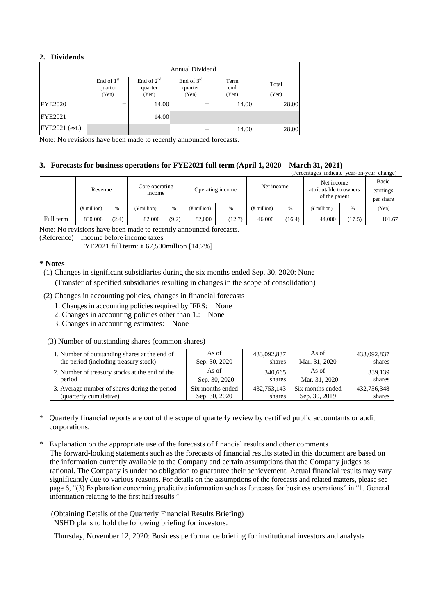## **2. Dividends**

|                       | <b>Annual Dividend</b>  |                         |                       |             |       |  |  |  |
|-----------------------|-------------------------|-------------------------|-----------------------|-------------|-------|--|--|--|
|                       | End of $1st$<br>quarter | End of $2nd$<br>quarter | End of 3rd<br>quarter | Term<br>end | Total |  |  |  |
|                       | (Yen)                   | (Yen)                   | (Yen)                 | (Yen)       | (Yen) |  |  |  |
| <b>FYE2020</b>        | -                       | 14.00                   |                       | 14.00       | 28.00 |  |  |  |
| <b>FYE2021</b>        | –                       | 14.00                   |                       |             |       |  |  |  |
| <b>FYE2021</b> (est.) |                         |                         |                       | 14.00       | 28.00 |  |  |  |

Note: No revisions have been made to recently announced forecasts.

## **3. Forecasts for business operations for FYE2021 full term (April 1, 2020 – March 31, 2021)**

|  | (Percentages indicate year-on-year change) |                   |                       |                                 |       |                              |        |                   |        |                                                       |        |        |
|--|--------------------------------------------|-------------------|-----------------------|---------------------------------|-------|------------------------------|--------|-------------------|--------|-------------------------------------------------------|--------|--------|
|  |                                            |                   |                       | Core operating<br><i>n</i> come |       | Operating income             |        | Net income        |        | Net income<br>attributable to owners<br>of the parent |        | Basic  |
|  | Revenue                                    |                   | earnings<br>per share |                                 |       |                              |        |                   |        |                                                       |        |        |
|  |                                            | $($ ¥ million $)$ | %                     | (¥ million)                     | %     | $($ <del>i</del> million $)$ | %      | $($ ¥ million $)$ | %      | $($ ¥ million $)$                                     | %      | (Yen)  |
|  | Full term                                  | 830,000           | (2.4)                 | 82,000                          | (9.2) | 82,000                       | (12.7) | 46,000            | (16.4) | 44,000                                                | (17.5) | 101.67 |

Note: No revisions have been made to recently announced forecasts.

(Reference) Income before income taxes

FYE2021 full term: ¥ 67,500million [14.7%]

#### **\* Notes**

(1) Changes in significant subsidiaries during the six months ended Sep. 30, 2020: None

(Transfer of specified subsidiaries resulting in changes in the scope of consolidation)

- (2) Changes in accounting policies, changes in financial forecasts
	- 1. Changes in accounting policies required by IFRS: None
	- 2. Changes in accounting policies other than 1.: None
	- 3. Changes in accounting estimates: None
- (3) Number of outstanding shares (common shares)

| 1. Number of outstanding shares at the end of  | As of            | 433,092,837 | As of            | 433,092,837 |
|------------------------------------------------|------------------|-------------|------------------|-------------|
| the period (including treasury stock)          | Sep. 30, 2020    | shares      | Mar. 31, 2020    | shares      |
| 2. Number of treasury stocks at the end of the | As of            | 340,665     | As of            | 339,139     |
| period                                         | Sep. 30, 2020    | shares      | Mar. 31, 2020    | shares      |
| 3. Average number of shares during the period  | Six months ended | 432,753,143 | Six months ended | 432,756,348 |
| (quarterly cumulative)                         | Sep. 30, 2020    | shares      | Sep. 30, 2019    | shares      |

- \* Quarterly financial reports are out of the scope of quarterly review by certified public accountants or audit corporations.
- \* Explanation on the appropriate use of the forecasts of financial results and other comments The forward-looking statements such as the forecasts of financial results stated in this document are based on the information currently available to the Company and certain assumptions that the Company judges as rational. The Company is under no obligation to guarantee their achievement. Actual financial results may vary significantly due to various reasons. For details on the assumptions of the forecasts and related matters, please see page 6, "(3) Explanation concerning predictive information such as forecasts for business operations" in "1. General information relating to the first half results."

(Obtaining Details of the Quarterly Financial Results Briefing) NSHD plans to hold the following briefing for investors.

Thursday, November 12, 2020: Business performance briefing for institutional investors and analysts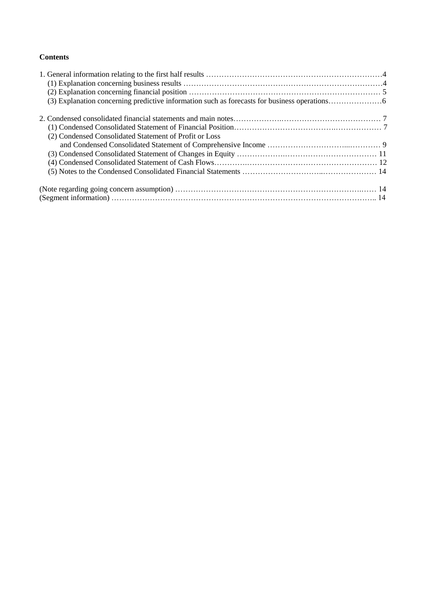## **Contents**

| (2) Condensed Consolidated Statement of Profit or Loss |  |
|--------------------------------------------------------|--|
|                                                        |  |
|                                                        |  |
|                                                        |  |
|                                                        |  |
|                                                        |  |
|                                                        |  |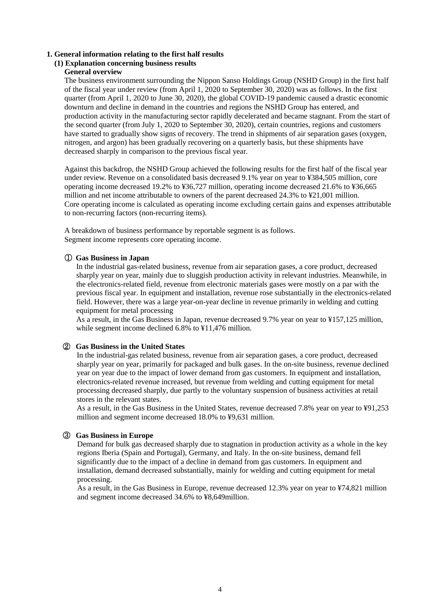#### **1. General information relating to the first half results**

## **(1) Explanation concerning business results**

## **General overview**

The business environment surrounding the Nippon Sanso Holdings Group (NSHD Group) in the first half of the fiscal year under review (from April 1, 2020 to September 30, 2020) was as follows. In the first quarter (from April 1, 2020 to June 30, 2020), the global COVID-19 pandemic caused a drastic economic downturn and decline in demand in the countries and regions the NSHD Group has entered, and production activity in the manufacturing sector rapidly decelerated and became stagnant. From the start of the second quarter (from July 1, 2020 to September 30, 2020), certain countries, regions and customers have started to gradually show signs of recovery. The trend in shipments of air separation gases (oxygen, nitrogen, and argon) has been gradually recovering on a quarterly basis, but these shipments have decreased sharply in comparison to the previous fiscal year.

Against this backdrop, the NSHD Group achieved the following results for the first half of the fiscal year under review. Revenue on a consolidated basis decreased 9.1% year on year to ¥384,505 million, core operating income decreased 19.2% to ¥36,727 million, operating income decreased 21.6% to ¥36,665 million and net income attributable to owners of the parent decreased 24.3% to ¥21,001 million. Core operating income is calculated as operating income excluding certain gains and expenses attributable to non-recurring factors (non-recurring items).

A breakdown of business performance by reportable segment is as follows. Segment income represents core operating income.

#### ① **Gas Business in Japan**

In the industrial gas-related business, revenue from air separation gases, a core product, decreased sharply year on year, mainly due to sluggish production activity in relevant industries. Meanwhile, in the electronics-related field, revenue from electronic materials gases were mostly on a par with the previous fiscal year. In equipment and installation, revenue rose substantially in the electronics-related field. However, there was a large year-on-year decline in revenue primarily in welding and cutting equipment for metal processing

As a result, in the Gas Business in Japan, revenue decreased 9.7% year on year to ¥157,125 million, while segment income declined 6.8% to ¥11,476 million.

#### ② **Gas Business in the United States**

In the industrial-gas related business, revenue from air separation gases, a core product, decreased sharply year on year, primarily for packaged and bulk gases. In the on-site business, revenue declined year on year due to the impact of lower demand from gas customers. In equipment and installation, electronics-related revenue increased, but revenue from welding and cutting equipment for metal processing decreased sharply, due partly to the voluntary suspension of business activities at retail stores in the relevant states.

As a result, in the Gas Business in the United States, revenue decreased 7.8% year on year to ¥91,253 million and segment income decreased 18.0% to ¥9,631 million.

## ③ **Gas Business in Europe**

Demand for bulk gas decreased sharply due to stagnation in production activity as a whole in the key regions Iberia (Spain and Portugal), Germany, and Italy. In the on-site business, demand fell significantly due to the impact of a decline in demand from gas customers. In equipment and installation, demand decreased substantially, mainly for welding and cutting equipment for metal processing.

As a result, in the Gas Business in Europe, revenue decreased 12.3% year on year to ¥74,821 million and segment income decreased 34.6% to ¥8,649million.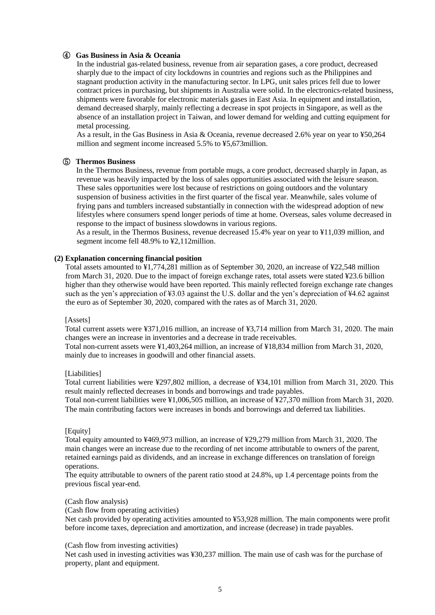## ④ **Gas Business in Asia & Oceania**

In the industrial gas-related business, revenue from air separation gases, a core product, decreased sharply due to the impact of city lockdowns in countries and regions such as the Philippines and stagnant production activity in the manufacturing sector. In LPG, unit sales prices fell due to lower contract prices in purchasing, but shipments in Australia were solid. In the electronics-related business, shipments were favorable for electronic materials gases in East Asia. In equipment and installation, demand decreased sharply, mainly reflecting a decrease in spot projects in Singapore, as well as the absence of an installation project in Taiwan, and lower demand for welding and cutting equipment for metal processing.

As a result, in the Gas Business in Asia & Oceania, revenue decreased 2.6% year on year to ¥50,264 million and segment income increased 5.5% to ¥5,673million.

#### ⑤ **Thermos Business**

In the Thermos Business, revenue from portable mugs, a core product, decreased sharply in Japan, as revenue was heavily impacted by the loss of sales opportunities associated with the leisure season. These sales opportunities were lost because of restrictions on going outdoors and the voluntary suspension of business activities in the first quarter of the fiscal year. Meanwhile, sales volume of frying pans and tumblers increased substantially in connection with the widespread adoption of new lifestyles where consumers spend longer periods of time at home. Overseas, sales volume decreased in response to the impact of business slowdowns in various regions.

As a result, in the Thermos Business, revenue decreased 15.4% year on year to ¥11,039 million, and segment income fell 48.9% to ¥2,112million.

#### **(2) Explanation concerning financial position**

Total assets amounted to ¥1,774,281 million as of September 30, 2020, an increase of ¥22,548 million from March 31, 2020. Due to the impact of foreign exchange rates, total assets were stated ¥23.6 billion higher than they otherwise would have been reported. This mainly reflected foreign exchange rate changes such as the yen's appreciation of ¥3.03 against the U.S. dollar and the yen's depreciation of ¥4.62 against the euro as of September 30, 2020, compared with the rates as of March 31, 2020.

#### [Assets]

Total current assets were ¥371,016 million, an increase of ¥3,714 million from March 31, 2020. The main changes were an increase in inventories and a decrease in trade receivables.

Total non-current assets were ¥1,403,264 million, an increase of ¥18,834 million from March 31, 2020, mainly due to increases in goodwill and other financial assets.

#### [Liabilities]

Total current liabilities were ¥297,802 million, a decrease of ¥34,101 million from March 31, 2020. This result mainly reflected decreases in bonds and borrowings and trade payables.

Total non-current liabilities were ¥1,006,505 million, an increase of ¥27,370 million from March 31, 2020. The main contributing factors were increases in bonds and borrowings and deferred tax liabilities.

#### [Equity]

Total equity amounted to ¥469,973 million, an increase of ¥29,279 million from March 31, 2020. The main changes were an increase due to the recording of net income attributable to owners of the parent, retained earnings paid as dividends, and an increase in exchange differences on translation of foreign operations.

The equity attributable to owners of the parent ratio stood at 24.8%, up 1.4 percentage points from the previous fiscal year-end.

#### (Cash flow analysis)

(Cash flow from operating activities)

Net cash provided by operating activities amounted to ¥53,928 million. The main components were profit before income taxes, depreciation and amortization, and increase (decrease) in trade payables.

#### (Cash flow from investing activities)

Net cash used in investing activities was ¥30,237 million. The main use of cash was for the purchase of property, plant and equipment.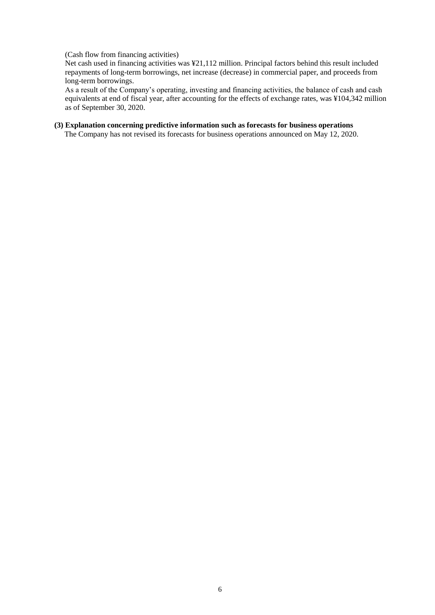#### (Cash flow from financing activities)

Net cash used in financing activities was ¥21,112 million. Principal factors behind this result included repayments of long-term borrowings, net increase (decrease) in commercial paper, and proceeds from long-term borrowings.

As a result of the Company's operating, investing and financing activities, the balance of cash and cash equivalents at end of fiscal year, after accounting for the effects of exchange rates, was ¥104,342 million as of September 30, 2020.

## **(3) Explanation concerning predictive information such as forecasts for business operations**

The Company has not revised its forecasts for business operations announced on May 12, 2020.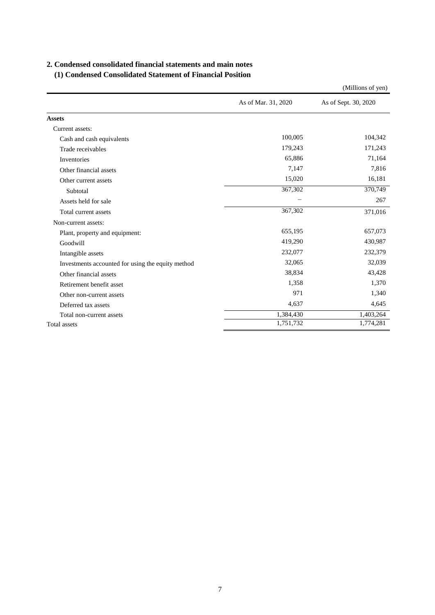## **2. Condensed consolidated financial statements and main notes**

## **(1) Condensed Consolidated Statement of Financial Position**

|                                                   |                     | (Millions of yen)    |
|---------------------------------------------------|---------------------|----------------------|
|                                                   | As of Mar. 31, 2020 | As of Sept. 30, 2020 |
| <b>Assets</b>                                     |                     |                      |
| Current assets:                                   |                     |                      |
| Cash and cash equivalents                         | 100,005             | 104,342              |
| Trade receivables                                 | 179,243             | 171,243              |
| Inventories                                       | 65,886              | 71,164               |
| Other financial assets                            | 7,147               | 7,816                |
| Other current assets                              | 15,020              | 16,181               |
| Subtotal                                          | 367,302             | 370,749              |
| Assets held for sale                              |                     | 267                  |
| Total current assets                              | 367,302             | 371,016              |
| Non-current assets:                               |                     |                      |
| Plant, property and equipment:                    | 655,195             | 657,073              |
| Goodwill                                          | 419,290             | 430,987              |
| Intangible assets                                 | 232,077             | 232,379              |
| Investments accounted for using the equity method | 32,065              | 32,039               |
| Other financial assets                            | 38,834              | 43,428               |
| Retirement benefit asset                          | 1,358               | 1,370                |
| Other non-current assets                          | 971                 | 1,340                |
| Deferred tax assets                               | 4,637               | 4,645                |
| Total non-current assets                          | 1,384,430           | 1,403,264            |
| Total assets                                      | 1,751,732           | 1,774,281            |

7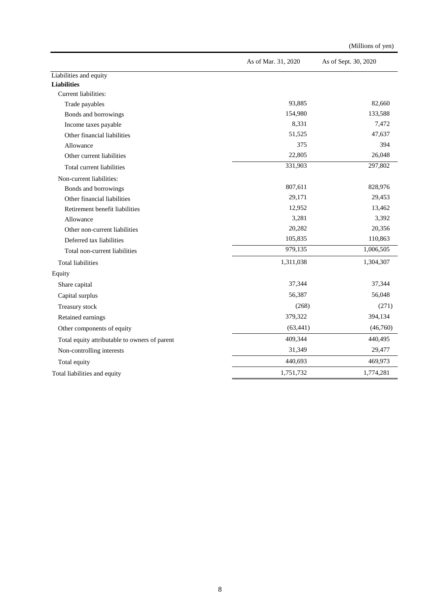|                                               | As of Mar. 31, 2020 | As of Sept. 30, 2020 |
|-----------------------------------------------|---------------------|----------------------|
| Liabilities and equity                        |                     |                      |
| <b>Liabilities</b>                            |                     |                      |
| Current liabilities:                          |                     |                      |
| Trade payables                                | 93,885              | 82,660               |
| Bonds and borrowings                          | 154,980             | 133,588              |
| Income taxes payable                          | 8,331               | 7,472                |
| Other financial liabilities                   | 51,525              | 47,637               |
| Allowance                                     | 375                 | 394                  |
| Other current liabilities                     | 22,805              | 26,048               |
| Total current liabilities                     | 331,903             | 297,802              |
| Non-current liabilities:                      |                     |                      |
| Bonds and borrowings                          | 807,611             | 828,976              |
| Other financial liabilities                   | 29,171              | 29,453               |
| Retirement benefit liabilities                | 12,952              | 13,462               |
| Allowance                                     | 3,281               | 3,392                |
| Other non-current liabilities                 | 20,282              | 20,356               |
| Deferred tax liabilities                      | 105,835             | 110,863              |
| Total non-current liabilities                 | 979,135             | 1,006,505            |
| <b>Total liabilities</b>                      | 1,311,038           | 1,304,307            |
| Equity                                        |                     |                      |
| Share capital                                 | 37,344              | 37,344               |
| Capital surplus                               | 56,387              | 56,048               |
| Treasury stock                                | (268)               | (271)                |
| Retained earnings                             | 379,322             | 394,134              |
| Other components of equity                    | (63, 441)           | (46,760)             |
| Total equity attributable to owners of parent | 409,344             | 440,495              |
| Non-controlling interests                     | 31,349              | 29,477               |
| Total equity                                  | 440,693             | 469,973              |
| Total liabilities and equity                  | 1,751,732           | 1,774,281            |

(Millions of yen)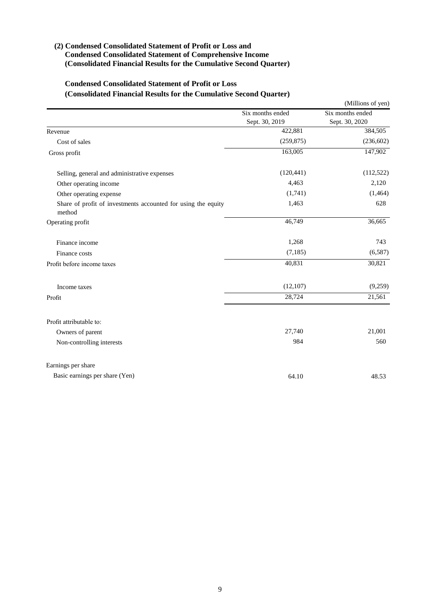## **(2) Condensed Consolidated Statement of Profit or Loss and Condensed Consolidated Statement of Comprehensive Income (Consolidated Financial Results for the Cumulative Second Quarter)**

## **Condensed Consolidated Statement of Profit or Loss (Consolidated Financial Results for the Cumulative Second Quarter)**

|                                                                         |                  | (Millions of yen) |
|-------------------------------------------------------------------------|------------------|-------------------|
|                                                                         | Six months ended | Six months ended  |
|                                                                         | Sept. 30, 2019   | Sept. 30, 2020    |
| Revenue                                                                 | 422,881          | 384,505           |
| Cost of sales                                                           | (259, 875)       | (236, 602)        |
| Gross profit                                                            | 163,005          | 147,902           |
| Selling, general and administrative expenses                            | (120, 441)       | (112, 522)        |
| Other operating income                                                  | 4,463            | 2,120             |
| Other operating expense                                                 | (1,741)          | (1,464)           |
| Share of profit of investments accounted for using the equity<br>method | 1,463            | 628               |
| Operating profit                                                        | 46,749           | 36,665            |
| Finance income                                                          | 1,268            | 743               |
| Finance costs                                                           | (7, 185)         | (6,587)           |
| Profit before income taxes                                              | 40,831           | 30,821            |
| Income taxes                                                            | (12, 107)        | (9,259)           |
| Profit                                                                  | 28,724           | 21,561            |
| Profit attributable to:                                                 |                  |                   |
| Owners of parent                                                        | 27,740           | 21,001            |
| Non-controlling interests                                               | 984              | 560               |
| Earnings per share                                                      |                  |                   |
| Basic earnings per share (Yen)                                          | 64.10            | 48.53             |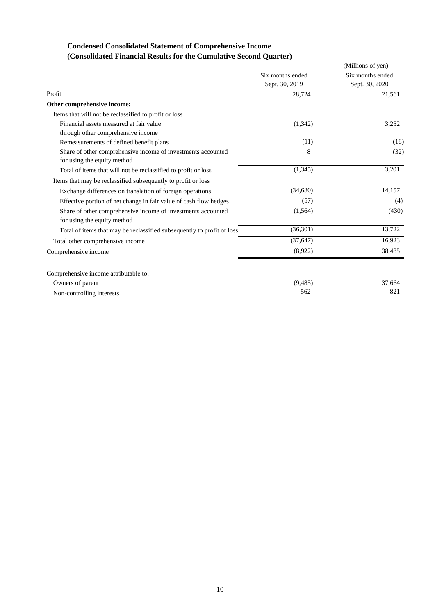## **Condensed Consolidated Statement of Comprehensive Income (Consolidated Financial Results for the Cumulative Second Quarter)**

|                                                                        |                  | (Millions of yen) |
|------------------------------------------------------------------------|------------------|-------------------|
|                                                                        | Six months ended | Six months ended  |
|                                                                        | Sept. 30, 2019   | Sept. 30, 2020    |
| Profit                                                                 | 28,724           | 21,561            |
| Other comprehensive income:                                            |                  |                   |
| Items that will not be reclassified to profit or loss                  |                  |                   |
| Financial assets measured at fair value                                | (1,342)          | 3,252             |
| through other comprehensive income                                     |                  |                   |
| Remeasurements of defined benefit plans                                | (11)             | (18)              |
| Share of other comprehensive income of investments accounted           | 8                | (32)              |
| for using the equity method                                            |                  |                   |
| Total of items that will not be reclassified to profit or loss         | (1,345)          | 3,201             |
| Items that may be reclassified subsequently to profit or loss          |                  |                   |
| Exchange differences on translation of foreign operations              | (34,680)         | 14,157            |
| Effective portion of net change in fair value of cash flow hedges      | (57)             | (4)               |
| Share of other comprehensive income of investments accounted           | (1, 564)         | (430)             |
| for using the equity method                                            |                  |                   |
| Total of items that may be reclassified subsequently to profit or loss | (36, 301)        | 13,722            |
| Total other comprehensive income                                       | (37, 647)        | 16,923            |
| Comprehensive income                                                   | (8,922)          | 38,485            |
| Comprehensive income attributable to:                                  |                  |                   |
| Owners of parent                                                       | (9, 485)         | 37,664            |
| Non-controlling interests                                              | 562              | 821               |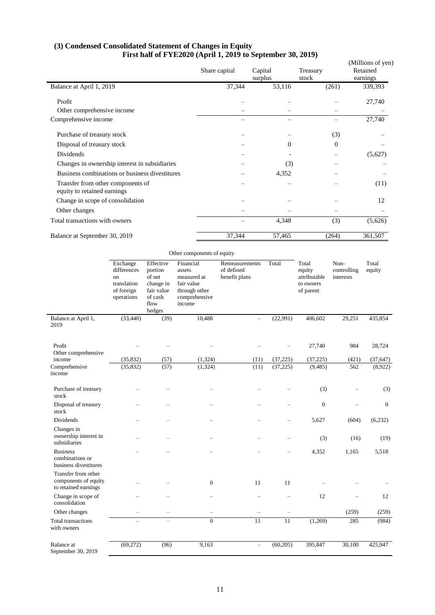#### **(3) Condensed Consolidated Statement of Changes in Equity First half of FYE2020 (April 1, 2019 to September 30, 2019)**

| FIISURE OF FILZ020 (April 1, 2019 to september 50, 2019)         | Share capital | Capital<br>surplus | Treasury<br>stock | (Millions of yen)<br>Retained<br>earnings |
|------------------------------------------------------------------|---------------|--------------------|-------------------|-------------------------------------------|
| Balance at April 1, 2019                                         | 37,344        | 53,116             | (261)             | 339,393                                   |
| Profit                                                           |               |                    |                   | 27,740                                    |
| Other comprehensive income                                       |               |                    |                   |                                           |
| Comprehensive income                                             |               |                    |                   | 27,740                                    |
| Purchase of treasury stock                                       |               |                    | (3)               |                                           |
| Disposal of treasury stock                                       |               | $\theta$           | $\overline{0}$    |                                           |
| Dividends                                                        |               |                    |                   | (5,627)                                   |
| Changes in ownership interest in subsidiaries                    |               | (3)                |                   |                                           |
| Business combinations or business divestitures                   |               | 4,352              |                   |                                           |
| Transfer from other components of<br>equity to retained earnings |               |                    |                   | (11)                                      |
| Change in scope of consolidation                                 |               |                    |                   | 12                                        |
| Other changes                                                    |               |                    |                   |                                           |
| Total transactions with owners                                   |               | 4,348              | (3)               | (5,626)                                   |
| Balance at September 30, 2019                                    | 37,344        | 57,465             | (264)             | 361,507                                   |

|                                                                     | Exchange<br>differences<br>on<br>translation<br>of foreign<br>operations | Effective<br>portion<br>of net<br>change in<br>fair value<br>of cash<br>flow<br>hedges | Financial<br>assets<br>measured at<br>fair value<br>through other<br>comprehensive<br>income | Remeasurements<br>of defined<br>benefit plans | Total                    | Total<br>equity<br>attributable<br>to owners<br>of parent | Non-<br>controlling<br>interests | Total<br>equity      |
|---------------------------------------------------------------------|--------------------------------------------------------------------------|----------------------------------------------------------------------------------------|----------------------------------------------------------------------------------------------|-----------------------------------------------|--------------------------|-----------------------------------------------------------|----------------------------------|----------------------|
| Balance at April 1,<br>2019                                         | (33, 440)                                                                | (39)                                                                                   | 10,488                                                                                       | $\overline{\phantom{0}}$                      | (22,991)                 | 406,602                                                   | 29,251                           | 435,854              |
| Profit<br>Other comprehensive<br>income                             |                                                                          |                                                                                        |                                                                                              |                                               |                          | 27,740                                                    | 984                              | 28,724               |
| Comprehensive<br>income                                             | (35, 832)<br>(35, 832)                                                   | (57)<br>(57)                                                                           | (1, 324)<br>(1,324)                                                                          | (11)<br>(11)                                  | (37, 225)<br>(37, 225)   | (37, 225)<br>(9, 485)                                     | (421)<br>562                     | (37, 647)<br>(8,922) |
| Purchase of treasury<br>stock                                       |                                                                          |                                                                                        |                                                                                              |                                               |                          | (3)                                                       |                                  | (3)                  |
| Disposal of treasury<br>stock                                       |                                                                          |                                                                                        |                                                                                              |                                               |                          | $\boldsymbol{0}$                                          |                                  | $\mathbf{0}$         |
| Dividends                                                           |                                                                          |                                                                                        |                                                                                              |                                               |                          | 5,627                                                     | (604)                            | (6,232)              |
| Changes in<br>ownership interest in<br>subsidiaries                 |                                                                          |                                                                                        |                                                                                              |                                               | -                        | (3)                                                       | (16)                             | (19)                 |
| <b>Business</b><br>combinations or<br>business divestitures         |                                                                          |                                                                                        |                                                                                              |                                               |                          | 4,352                                                     | 1,165                            | 5,518                |
| Transfer from other<br>components of equity<br>to retained earnings |                                                                          |                                                                                        | $\mathbf{0}$                                                                                 | 11                                            | 11                       |                                                           |                                  |                      |
| Change in scope of<br>consolidation                                 |                                                                          |                                                                                        |                                                                                              |                                               | $\overline{\phantom{0}}$ | 12                                                        |                                  | 12                   |
| Other changes                                                       | $\overline{\phantom{0}}$                                                 | $\overline{\phantom{0}}$                                                               |                                                                                              |                                               |                          |                                                           | (259)                            | (259)                |
| <b>Total transactions</b><br>with owners                            | $\overline{\phantom{0}}$                                                 | $\overline{\phantom{0}}$                                                               | $\overline{0}$                                                                               | $\overline{11}$                               | $\overline{11}$          | (1,269)                                                   | 285                              | (984)                |
| <b>Balance</b> at<br>September 30, 2019                             | (69,272)                                                                 | (96)                                                                                   | 9,163                                                                                        | $\qquad \qquad -$                             | (60, 205)                | 395,847                                                   | 30,100                           | 425,947              |

11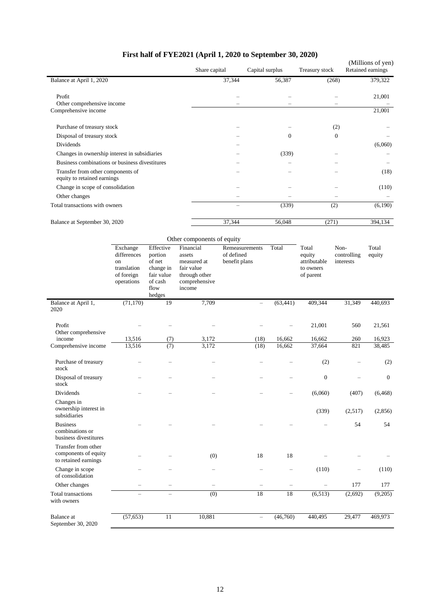|                                                                  |                                                                          |                                                                                        | FIFST Hall of FYEZUZI (April 1, 2020 to September 30, 2020)<br>Share capital                                               |                                               | Capital surplus |                | Treasury stock                                            |                                  | (Millions of yen)<br>Retained earnings |
|------------------------------------------------------------------|--------------------------------------------------------------------------|----------------------------------------------------------------------------------------|----------------------------------------------------------------------------------------------------------------------------|-----------------------------------------------|-----------------|----------------|-----------------------------------------------------------|----------------------------------|----------------------------------------|
| Balance at April 1, 2020                                         |                                                                          |                                                                                        |                                                                                                                            | 37,344                                        |                 | 56,387         |                                                           | (268)                            | 379,322                                |
| Profit<br>Other comprehensive income                             |                                                                          |                                                                                        |                                                                                                                            |                                               |                 |                |                                                           |                                  | 21,001                                 |
| Comprehensive income                                             |                                                                          |                                                                                        |                                                                                                                            |                                               |                 |                |                                                           |                                  | 21,001                                 |
| Purchase of treasury stock                                       |                                                                          |                                                                                        |                                                                                                                            |                                               |                 |                |                                                           | (2)                              |                                        |
| Disposal of treasury stock                                       |                                                                          |                                                                                        |                                                                                                                            |                                               |                 | $\overline{0}$ |                                                           | $\mathbf{0}$                     |                                        |
| Dividends                                                        |                                                                          |                                                                                        |                                                                                                                            |                                               |                 |                |                                                           |                                  | (6,060)                                |
| Changes in ownership interest in subsidiaries                    |                                                                          |                                                                                        |                                                                                                                            |                                               |                 | (339)          |                                                           |                                  |                                        |
| Business combinations or business divestitures                   |                                                                          |                                                                                        |                                                                                                                            |                                               |                 |                |                                                           |                                  |                                        |
| Transfer from other components of<br>equity to retained earnings |                                                                          |                                                                                        |                                                                                                                            |                                               |                 |                |                                                           |                                  | (18)                                   |
| Change in scope of consolidation                                 |                                                                          |                                                                                        |                                                                                                                            |                                               |                 |                |                                                           |                                  | (110)                                  |
| Other changes                                                    |                                                                          |                                                                                        |                                                                                                                            |                                               |                 |                |                                                           |                                  |                                        |
| Total transactions with owners                                   |                                                                          |                                                                                        |                                                                                                                            |                                               |                 | (339)          | (2)                                                       |                                  | (6,190)                                |
|                                                                  | Balance at September 30, 2020                                            |                                                                                        |                                                                                                                            | 37,344                                        |                 | 56,048         | (271)                                                     |                                  | 394,134                                |
|                                                                  | Exchange<br>differences<br>on<br>translation<br>of foreign<br>operations | Effective<br>portion<br>of net<br>change in<br>fair value<br>of cash<br>flow<br>hedges | Other components of equity<br>Financial<br>assets<br>measured at<br>fair value<br>through other<br>comprehensive<br>income | Remeasurements<br>of defined<br>benefit plans |                 | Total          | Total<br>equity<br>attributable<br>to owners<br>of parent | Non-<br>controlling<br>interests | Total<br>equity                        |
| Balance at April 1,<br>2020                                      | (71, 170)                                                                | 19                                                                                     | 7,709                                                                                                                      |                                               |                 | (63, 441)      | 409,344                                                   | 31,349                           | 440,693                                |
| Profit<br>Other comprehensive                                    |                                                                          |                                                                                        |                                                                                                                            |                                               |                 | L,             | 21,001                                                    | 560                              | 21,561                                 |
| income                                                           | 13,516                                                                   | (7)                                                                                    | 3,172                                                                                                                      |                                               | (18)            | 16,662         | 16,662                                                    | 260                              | 16,923                                 |
| Comprehensive income                                             | 13,516                                                                   | (7)                                                                                    | 3,172                                                                                                                      |                                               | (18)            | 16,662         | 37,664                                                    | 821                              | 38,485                                 |
| Purchase of treasury<br>stock                                    |                                                                          |                                                                                        |                                                                                                                            |                                               |                 |                | (2)                                                       |                                  | (2)                                    |
| Disposal of treasury<br>stock                                    |                                                                          |                                                                                        |                                                                                                                            |                                               |                 |                | $\boldsymbol{0}$                                          |                                  | $\boldsymbol{0}$                       |
| Dividends                                                        |                                                                          |                                                                                        |                                                                                                                            |                                               |                 |                | (6,060)                                                   | (407)                            | (6, 468)                               |
| Changes in<br>ownership interest in<br>subsidiaries              |                                                                          |                                                                                        |                                                                                                                            |                                               |                 |                | (339)                                                     | (2,517)                          | (2,856)                                |
| <b>Business</b><br>combinations or                               |                                                                          |                                                                                        |                                                                                                                            |                                               |                 |                |                                                           | 54                               | 54                                     |

| business divestitures                                               |           |        |    |          |          |         |         |
|---------------------------------------------------------------------|-----------|--------|----|----------|----------|---------|---------|
| Transfer from other<br>components of equity<br>to retained earnings |           | (0)    | 18 | 18       |          |         |         |
| Change in scope<br>of consolidation                                 |           |        |    |          | (110)    | -       | (110)   |
| Other changes                                                       |           |        |    |          | -        | 177     | 177     |
| Total transactions<br>with owners                                   |           | (0)    | 18 | 18       | (6, 513) | (2,692) | (9,205) |
| Balance at<br>September 30, 2020                                    | (57, 653) | 10,881 |    | (46,760) | 440,495  | 29,477  | 469,973 |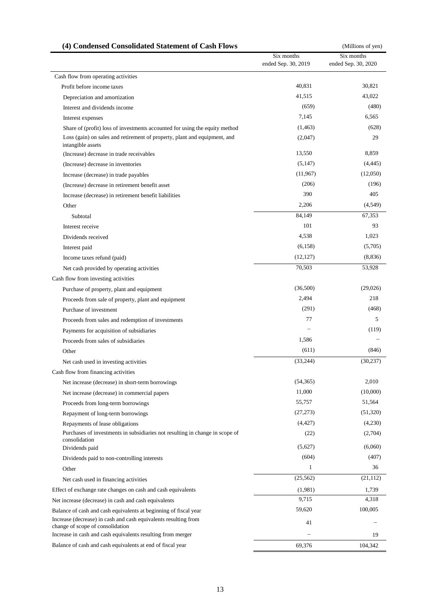| (4) Condensed Consolidated Statement of Cash Flows                                                                                                                      |                                   | (Millions of yen)                 |  |
|-------------------------------------------------------------------------------------------------------------------------------------------------------------------------|-----------------------------------|-----------------------------------|--|
|                                                                                                                                                                         | Six months<br>ended Sep. 30, 2019 | Six months<br>ended Sep. 30, 2020 |  |
| Cash flow from operating activities                                                                                                                                     |                                   |                                   |  |
| Profit before income taxes                                                                                                                                              | 40,831                            | 30,821                            |  |
| Depreciation and amortization                                                                                                                                           | 41,515                            | 43,022                            |  |
| Interest and dividends income                                                                                                                                           | (659)                             | (480)                             |  |
| Interest expenses                                                                                                                                                       | 7,145                             | 6,565                             |  |
| Share of (profit) loss of investments accounted for using the equity method                                                                                             | (1, 463)                          | (628)                             |  |
| Loss (gain) on sales and retirement of property, plant and equipment, and<br>intangible assets                                                                          | (2,047)                           | 29                                |  |
| (Increase) decrease in trade receivables                                                                                                                                | 13,550                            | 8,859                             |  |
| (Increase) decrease in inventories                                                                                                                                      | (5,147)                           | (4, 445)                          |  |
| Increase (decrease) in trade payables                                                                                                                                   | (11,967)                          | (12,050)                          |  |
| (Increase) decrease in retirement benefit asset                                                                                                                         | (206)                             | (196)                             |  |
| Increase (decrease) in retirement benefit liabilities                                                                                                                   | 390                               | 405                               |  |
| Other                                                                                                                                                                   | 2,206                             | (4,549)                           |  |
| Subtotal                                                                                                                                                                | 84,149                            | 67,353                            |  |
| Interest receive                                                                                                                                                        | 101                               | 93                                |  |
| Dividends received                                                                                                                                                      | 4,538                             | 1,023                             |  |
| Interest paid                                                                                                                                                           | (6.158)                           | (5,705)                           |  |
| Income taxes refund (paid)                                                                                                                                              | (12, 127)                         | (8,836)                           |  |
| Net cash provided by operating activities                                                                                                                               | 70,503                            | 53,928                            |  |
| Cash flow from investing activities                                                                                                                                     |                                   |                                   |  |
| Purchase of property, plant and equipment                                                                                                                               | (36,500)                          | (29,026)                          |  |
| Proceeds from sale of property, plant and equipment                                                                                                                     | 2,494                             | 218                               |  |
| Purchase of investment                                                                                                                                                  | (291)                             | (468)                             |  |
| Proceeds from sales and redemption of investments                                                                                                                       | 77                                | 5                                 |  |
| Payments for acquisition of subsidiaries                                                                                                                                |                                   | (119)                             |  |
| Proceeds from sales of subsidiaries                                                                                                                                     | 1,586                             |                                   |  |
| Other                                                                                                                                                                   | (611)                             | (846)                             |  |
|                                                                                                                                                                         | (33, 244)                         | (30, 237)                         |  |
| Net cash used in investing activities                                                                                                                                   |                                   |                                   |  |
| Cash flow from financing activities                                                                                                                                     |                                   |                                   |  |
| Net increase (decrease) in short-term borrowings                                                                                                                        | (54, 365)                         | 2,010                             |  |
| Net increase (decrease) in commercial papers                                                                                                                            | 11,000                            | (10,000)                          |  |
| Proceeds from long-term borrowings                                                                                                                                      | 55,757                            | 51,564                            |  |
| Repayment of long-term borrowings                                                                                                                                       | (27, 273)                         | (51,320)                          |  |
| Repayments of lease obligations<br>Purchases of investments in subsidiaries not resulting in change in scope of<br>consolidation                                        | (4, 427)<br>(22)                  | (4,230)<br>(2,704)                |  |
| Dividends paid                                                                                                                                                          | (5,627)                           | (6,060)                           |  |
| Dividends paid to non-controlling interests                                                                                                                             | (604)                             | (407)                             |  |
| Other                                                                                                                                                                   | 1                                 | 36                                |  |
| Net cash used in financing activities                                                                                                                                   | (25, 562)                         | (21, 112)                         |  |
| Effect of exchange rate changes on cash and cash equivalents                                                                                                            | (1,981)                           | 1,739                             |  |
|                                                                                                                                                                         | 9,715                             | 4,318                             |  |
| Net increase (decrease) in cash and cash equivalents                                                                                                                    | 59,620                            | 100,005                           |  |
| Balance of cash and cash equivalents at beginning of fiscal year<br>Increase (decrease) in cash and cash equivalents resulting from<br>change of scope of consolidation | 41                                |                                   |  |
| Increase in cash and cash equivalents resulting from merger                                                                                                             |                                   | 19                                |  |
| Balance of cash and cash equivalents at end of fiscal year                                                                                                              | 69,376                            | 104,342                           |  |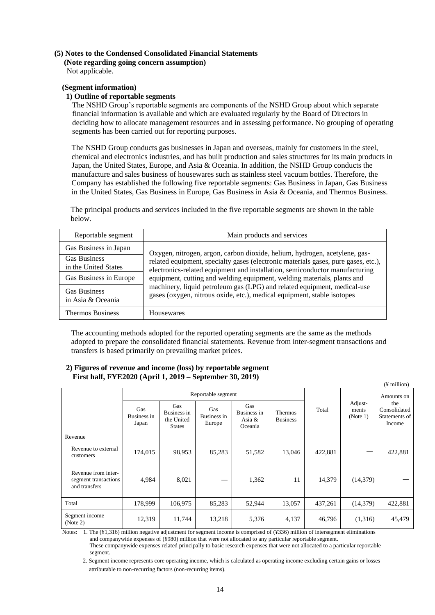# **(5) Notes to the Condensed Consolidated Financial Statements**

**(Note regarding going concern assumption)** Not applicable.

## **(Segment information)**

## **1) Outline of reportable segments**

The NSHD Group's reportable segments are components of the NSHD Group about which separate financial information is available and which are evaluated regularly by the Board of Directors in deciding how to allocate management resources and in assessing performance. No grouping of operating segments has been carried out for reporting purposes.

The NSHD Group conducts gas businesses in Japan and overseas, mainly for customers in the steel, chemical and electronics industries, and has built production and sales structures for its main products in Japan, the United States, Europe, and Asia & Oceania. In addition, the NSHD Group conducts the manufacture and sales business of housewares such as stainless steel vacuum bottles. Therefore, the Company has established the following five reportable segments: Gas Business in Japan, Gas Business in the United States, Gas Business in Europe, Gas Business in Asia & Oceania, and Thermos Business.

The principal products and services included in the five reportable segments are shown in the table below.

| Reportable segment                          | Main products and services                                                                                                                                                                                                                   |  |  |  |  |
|---------------------------------------------|----------------------------------------------------------------------------------------------------------------------------------------------------------------------------------------------------------------------------------------------|--|--|--|--|
| Gas Business in Japan                       | Oxygen, nitrogen, argon, carbon dioxide, helium, hydrogen, acetylene, gas-                                                                                                                                                                   |  |  |  |  |
| <b>Gas Business</b><br>in the United States | related equipment, specialty gases (electronic materials gases, pure gases, etc.),<br>electronics-related equipment and installation, semiconductor manufacturing<br>equipment, cutting and welding equipment, welding materials, plants and |  |  |  |  |
| Gas Business in Europe                      |                                                                                                                                                                                                                                              |  |  |  |  |
| <b>Gas Business</b><br>in Asia & Oceania    | machinery, liquid petroleum gas (LPG) and related equipment, medical-use<br>gases (oxygen, nitrous oxide, etc.), medical equipment, stable isotopes                                                                                          |  |  |  |  |
| <b>Thermos Business</b>                     | Housewares                                                                                                                                                                                                                                   |  |  |  |  |

The accounting methods adopted for the reported operating segments are the same as the methods adopted to prepare the consolidated financial statements. Revenue from inter-segment transactions and transfers is based primarily on prevailing market prices.

 $\alpha$  million)

#### **2) Figures of revenue and income (loss) by reportable segment First half, FYE2020 (April 1, 2019 – September 30, 2019)**

|                                                              |                             |                                                   |                              |                                         |                                   |         |                              | $(T$ $\mu$                                     |
|--------------------------------------------------------------|-----------------------------|---------------------------------------------------|------------------------------|-----------------------------------------|-----------------------------------|---------|------------------------------|------------------------------------------------|
|                                                              |                             |                                                   | Reportable segment           |                                         |                                   |         | Amounts on                   |                                                |
|                                                              | Gas<br>Business in<br>Japan | Gas<br>Business in<br>the United<br><b>States</b> | Gas<br>Business in<br>Europe | Gas<br>Business in<br>Asia &<br>Oceania | <b>Thermos</b><br><b>Business</b> | Total   | Adjust-<br>ments<br>(Note 1) | the<br>Consolidated<br>Statements of<br>Income |
| Revenue                                                      |                             |                                                   |                              |                                         |                                   |         |                              |                                                |
| Revenue to external<br>customers                             | 174,015                     | 98,953                                            | 85,283                       | 51,582                                  | 13,046                            | 422,881 |                              | 422,881                                        |
| Revenue from inter-<br>segment transactions<br>and transfers | 4,984                       | 8,021                                             |                              | 1,362                                   | 11                                | 14,379  | (14,379)                     |                                                |
| Total                                                        | 178,999                     | 106,975                                           | 85,283                       | 52,944                                  | 13,057                            | 437,261 | (14,379)                     | 422,881                                        |
| Segment income<br>(Note 2)                                   | 12,319                      | 11,744                                            | 13,218                       | 5,376                                   | 4,137                             | 46,796  | (1,316)                      | 45,479                                         |

Notes: 1. The (¥1,316) million negative adjustment for segment income is comprised of (¥336) million of intersegment eliminations and companywide expenses of (¥980) million that were not allocated to any particular reportable segment. These companywide expenses related principally to basic research expenses that were not allocated to a particular reportable segment.

2. Segment income represents core operating income, which is calculated as operating income excluding certain gains or losses attributable to non-recurring factors (non-recurring items).